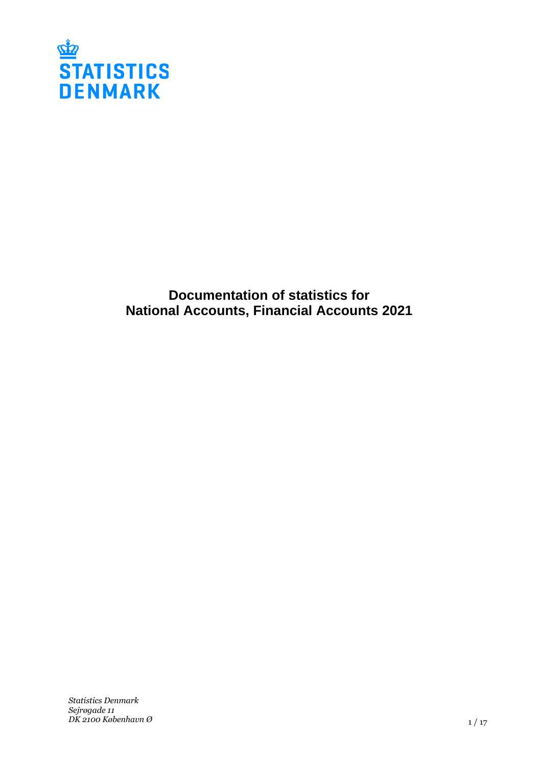

# **Documentation of statistics for National Accounts, Financial Accounts 2021**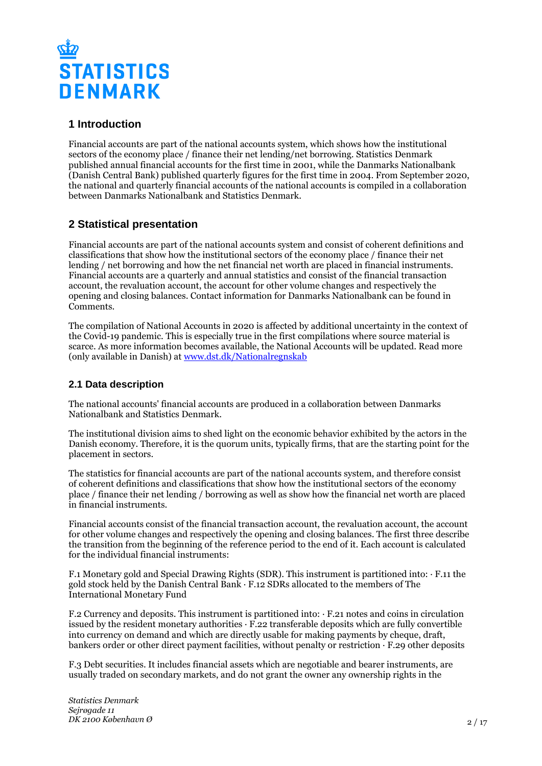

## **1 Introduction**

Financial accounts are part of the national accounts system, which shows how the institutional sectors of the economy place / finance their net lending/net borrowing. Statistics Denmark published annual financial accounts for the first time in 2001, while the Danmarks Nationalbank (Danish Central Bank) published quarterly figures for the first time in 2004. From September 2020, the national and quarterly financial accounts of the national accounts is compiled in a collaboration between Danmarks Nationalbank and Statistics Denmark.

## **2 Statistical presentation**

Financial accounts are part of the national accounts system and consist of coherent definitions and classifications that show how the institutional sectors of the economy place / finance their net lending / net borrowing and how the net financial net worth are placed in financial instruments. Financial accounts are a quarterly and annual statistics and consist of the financial transaction account, the revaluation account, the account for other volume changes and respectively the opening and closing balances. Contact information for Danmarks Nationalbank can be found in Comments.

The compilation of National Accounts in 2020 is affected by additional uncertainty in the context of the Covid-19 pandemic. This is especially true in the first compilations where source material is scarce. As more information becomes available, the National Accounts will be updated. Read more (only available in Danish) at [www.dst.dk/Nationalregnskab](https://www.dst.dk/nationalregnskab)

## **2.1 Data description**

The national accounts' financial accounts are produced in a collaboration between Danmarks Nationalbank and Statistics Denmark.

The institutional division aims to shed light on the economic behavior exhibited by the actors in the Danish economy. Therefore, it is the quorum units, typically firms, that are the starting point for the placement in sectors.

The statistics for financial accounts are part of the national accounts system, and therefore consist of coherent definitions and classifications that show how the institutional sectors of the economy place / finance their net lending / borrowing as well as show how the financial net worth are placed in financial instruments.

Financial accounts consist of the financial transaction account, the revaluation account, the account for other volume changes and respectively the opening and closing balances. The first three describe the transition from the beginning of the reference period to the end of it. Each account is calculated for the individual financial instruments:

F.1 Monetary gold and Special Drawing Rights (SDR). This instrument is partitioned into:  $\cdot$  F.11 the gold stock held by the Danish Central Bank · F.12 SDRs allocated to the members of The International Monetary Fund

F.2 Currency and deposits. This instrument is partitioned into: · F.21 notes and coins in circulation issued by the resident monetary authorities · F.22 transferable deposits which are fully convertible into currency on demand and which are directly usable for making payments by cheque, draft, bankers order or other direct payment facilities, without penalty or restriction · F.29 other deposits

F.3 Debt securities. It includes financial assets which are negotiable and bearer instruments, are usually traded on secondary markets, and do not grant the owner any ownership rights in the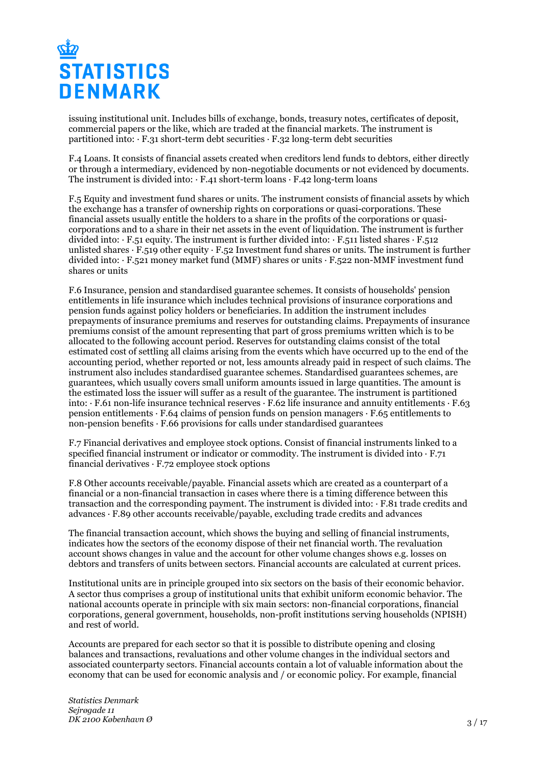

issuing institutional unit. Includes bills of exchange, bonds, treasury notes, certificates of deposit, commercial papers or the like, which are traded at the financial markets. The instrument is partitioned into:  $\cdot$  F.31 short-term debt securities  $\cdot$  F.32 long-term debt securities

F.4 Loans. It consists of financial assets created when creditors lend funds to debtors, either directly or through a intermediary, evidenced by non-negotiable documents or not evidenced by documents. The instrument is divided into:  $\cdot$  F.41 short-term loans  $\cdot$  F.42 long-term loans

F.5 Equity and investment fund shares or units. The instrument consists of financial assets by which the exchange has a transfer of ownership rights on corporations or quasi-corporations. These financial assets usually entitle the holders to a share in the profits of the corporations or quasicorporations and to a share in their net assets in the event of liquidation. The instrument is further divided into:  $\cdot$  F.51 equity. The instrument is further divided into:  $\cdot$  F.511 listed shares  $\cdot$  F.512 unlisted shares  $\cdot$  F.519 other equity  $\cdot$  F.52 Investment fund shares or units. The instrument is further divided into: · F.521 money market fund (MMF) shares or units · F.522 non-MMF investment fund shares or units

F.6 Insurance, pension and standardised guarantee schemes. It consists of households' pension entitlements in life insurance which includes technical provisions of insurance corporations and pension funds against policy holders or beneficiaries. In addition the instrument includes prepayments of insurance premiums and reserves for outstanding claims. Prepayments of insurance premiums consist of the amount representing that part of gross premiums written which is to be allocated to the following account period. Reserves for outstanding claims consist of the total estimated cost of settling all claims arising from the events which have occurred up to the end of the accounting period, whether reported or not, less amounts already paid in respect of such claims. The instrument also includes standardised guarantee schemes. Standardised guarantees schemes, are guarantees, which usually covers small uniform amounts issued in large quantities. The amount is the estimated loss the issuer will suffer as a result of the guarantee. The instrument is partitioned into: · F.61 non-life insurance technical reserves · F.62 life insurance and annuity entitlements · F.63 pension entitlements · F.64 claims of pension funds on pension managers · F.65 entitlements to non-pension benefits  $\cdot$  F.66 provisions for calls under standardised guarantees

F.7 Financial derivatives and employee stock options. Consist of financial instruments linked to a specified financial instrument or indicator or commodity. The instrument is divided into  $\cdot$  F.71 financial derivatives  $\cdot$  F.72 employee stock options

F.8 Other accounts receivable/payable. Financial assets which are created as a counterpart of a financial or a non-financial transaction in cases where there is a timing difference between this transaction and the corresponding payment. The instrument is divided into: · F.81 trade credits and advances · F.89 other accounts receivable/payable, excluding trade credits and advances

The financial transaction account, which shows the buying and selling of financial instruments, indicates how the sectors of the economy dispose of their net financial worth. The revaluation account shows changes in value and the account for other volume changes shows e.g. losses on debtors and transfers of units between sectors. Financial accounts are calculated at current prices.

Institutional units are in principle grouped into six sectors on the basis of their economic behavior. A sector thus comprises a group of institutional units that exhibit uniform economic behavior. The national accounts operate in principle with six main sectors: non-financial corporations, financial corporations, general government, households, non-profit institutions serving households (NPISH) and rest of world.

Accounts are prepared for each sector so that it is possible to distribute opening and closing balances and transactions, revaluations and other volume changes in the individual sectors and associated counterparty sectors. Financial accounts contain a lot of valuable information about the economy that can be used for economic analysis and / or economic policy. For example, financial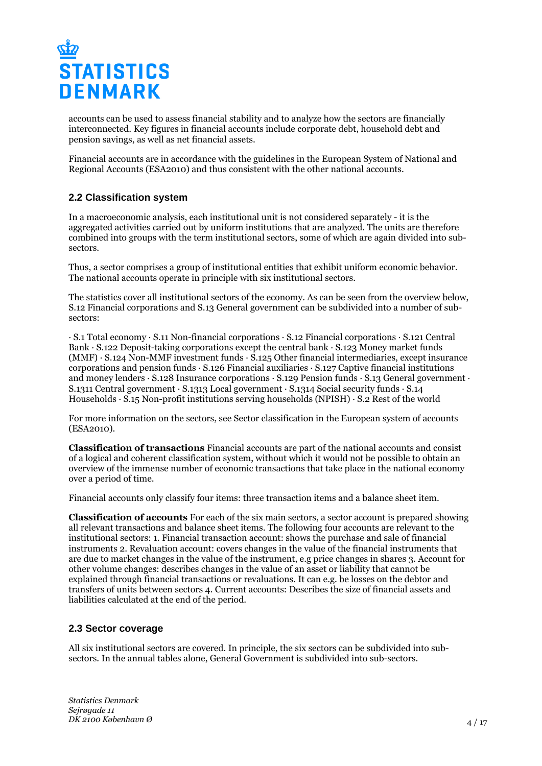

accounts can be used to assess financial stability and to analyze how the sectors are financially interconnected. Key figures in financial accounts include corporate debt, household debt and pension savings, as well as net financial assets.

Financial accounts are in accordance with the guidelines in the European System of National and Regional Accounts (ESA2010) and thus consistent with the other national accounts.

### **2.2 Classification system**

In a macroeconomic analysis, each institutional unit is not considered separately - it is the aggregated activities carried out by uniform institutions that are analyzed. The units are therefore combined into groups with the term institutional sectors, some of which are again divided into subsectors.

Thus, a sector comprises a group of institutional entities that exhibit uniform economic behavior. The national accounts operate in principle with six institutional sectors.

The statistics cover all institutional sectors of the economy. As can be seen from the overview below, S.12 Financial corporations and S.13 General government can be subdivided into a number of subsectors:

· S.1 Total economy · S.11 Non-financial corporations · S.12 Financial corporations · S.121 Central Bank · S.122 Deposit-taking corporations except the central bank · S.123 Money market funds  $(MMF)$  · S.124 Non-MMF investment funds  $\cdot$  S.125 Other financial intermediaries, except insurance corporations and pension funds · S.126 Financial auxiliaries · S.127 Captive financial institutions and money lenders · S.128 Insurance corporations · S.129 Pension funds · S.13 General government · S.1311 Central government · S.1313 Local government · S.1314 Social security funds · S.14 Households · S.15 Non-profit institutions serving households (NPISH) · S.2 Rest of the world

For more information on the sectors, see Sector classification in the European system of accounts (ESA2010).

**Classification of transactions** Financial accounts are part of the national accounts and consist of a logical and coherent classification system, without which it would not be possible to obtain an overview of the immense number of economic transactions that take place in the national economy over a period of time.

Financial accounts only classify four items: three transaction items and a balance sheet item.

**Classification of accounts** For each of the six main sectors, a sector account is prepared showing all relevant transactions and balance sheet items. The following four accounts are relevant to the institutional sectors: 1. Financial transaction account: shows the purchase and sale of financial instruments 2. Revaluation account: covers changes in the value of the financial instruments that are due to market changes in the value of the instrument, e.g price changes in shares 3. Account for other volume changes: describes changes in the value of an asset or liability that cannot be explained through financial transactions or revaluations. It can e.g. be losses on the debtor and transfers of units between sectors 4. Current accounts: Describes the size of financial assets and liabilities calculated at the end of the period.

#### **2.3 Sector coverage**

All six institutional sectors are covered. In principle, the six sectors can be subdivided into subsectors. In the annual tables alone, General Government is subdivided into sub-sectors.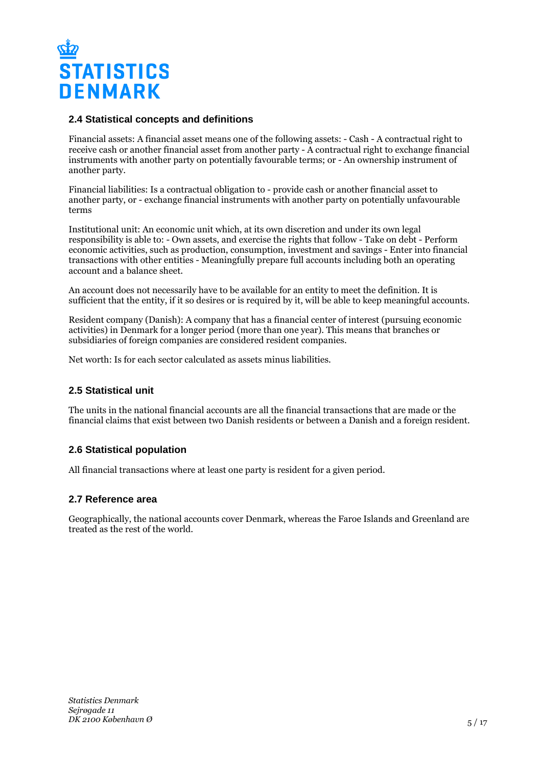

### **2.4 Statistical concepts and definitions**

Financial assets: A financial asset means one of the following assets: - Cash - A contractual right to receive cash or another financial asset from another party - A contractual right to exchange financial instruments with another party on potentially favourable terms; or - An ownership instrument of another party.

Financial liabilities: Is a contractual obligation to - provide cash or another financial asset to another party, or - exchange financial instruments with another party on potentially unfavourable terms

Institutional unit: An economic unit which, at its own discretion and under its own legal responsibility is able to: - Own assets, and exercise the rights that follow - Take on debt - Perform economic activities, such as production, consumption, investment and savings - Enter into financial transactions with other entities - Meaningfully prepare full accounts including both an operating account and a balance sheet.

An account does not necessarily have to be available for an entity to meet the definition. It is sufficient that the entity, if it so desires or is required by it, will be able to keep meaningful accounts.

Resident company (Danish): A company that has a financial center of interest (pursuing economic activities) in Denmark for a longer period (more than one year). This means that branches or subsidiaries of foreign companies are considered resident companies.

Net worth: Is for each sector calculated as assets minus liabilities.

## **2.5 Statistical unit**

The units in the national financial accounts are all the financial transactions that are made or the financial claims that exist between two Danish residents or between a Danish and a foreign resident.

## **2.6 Statistical population**

All financial transactions where at least one party is resident for a given period.

#### **2.7 Reference area**

Geographically, the national accounts cover Denmark, whereas the Faroe Islands and Greenland are treated as the rest of the world.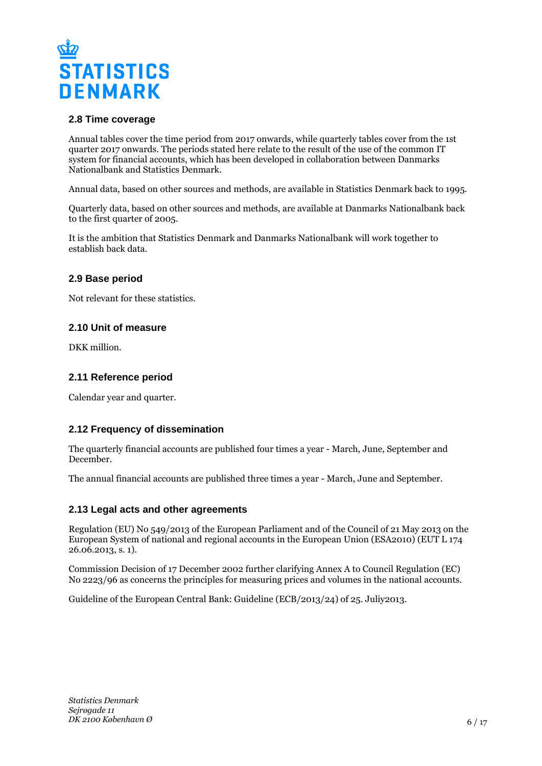

### **2.8 Time coverage**

Annual tables cover the time period from 2017 onwards, while quarterly tables cover from the 1st quarter 2017 onwards. The periods stated here relate to the result of the use of the common IT system for financial accounts, which has been developed in collaboration between Danmarks Nationalbank and Statistics Denmark.

Annual data, based on other sources and methods, are available in Statistics Denmark back to 1995.

Quarterly data, based on other sources and methods, are available at Danmarks Nationalbank back to the first quarter of 2005.

It is the ambition that Statistics Denmark and Danmarks Nationalbank will work together to establish back data.

#### **2.9 Base period**

Not relevant for these statistics.

### **2.10 Unit of measure**

DKK million.

## **2.11 Reference period**

Calendar year and quarter.

## **2.12 Frequency of dissemination**

The quarterly financial accounts are published four times a year - March, June, September and December.

The annual financial accounts are published three times a year - March, June and September.

## **2.13 Legal acts and other agreements**

Regulation (EU) No 549/2013 of the European Parliament and of the Council of 21 May 2013 on the European System of national and regional accounts in the European Union (ESA2010) (EUT L 174 26.06.2013, s. 1).

Commission Decision of 17 December 2002 further clarifying Annex A to Council Regulation (EC) No 2223/96 as concerns the principles for measuring prices and volumes in the national accounts.

Guideline of the European Central Bank: Guideline (ECB/2013/24) of 25. Juliy2013.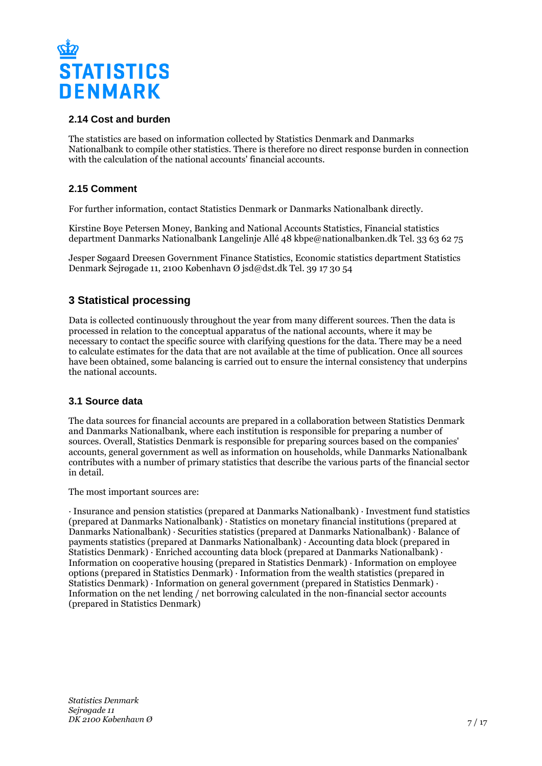

## **2.14 Cost and burden**

The statistics are based on information collected by Statistics Denmark and Danmarks Nationalbank to compile other statistics. There is therefore no direct response burden in connection with the calculation of the national accounts' financial accounts.

## **2.15 Comment**

For further information, contact Statistics Denmark or Danmarks Nationalbank directly.

Kirstine Boye Petersen Money, Banking and National Accounts Statistics, Financial statistics department Danmarks Nationalbank Langelinje Allé 48 kbpe@nationalbanken.dk Tel. 33 63 62 75

Jesper Søgaard Dreesen Government Finance Statistics, Economic statistics department Statistics Denmark Sejrøgade 11, 2100 København Ø jsd@dst.dk Tel. 39 17 30 54

## **3 Statistical processing**

Data is collected continuously throughout the year from many different sources. Then the data is processed in relation to the conceptual apparatus of the national accounts, where it may be necessary to contact the specific source with clarifying questions for the data. There may be a need to calculate estimates for the data that are not available at the time of publication. Once all sources have been obtained, some balancing is carried out to ensure the internal consistency that underpins the national accounts.

## **3.1 Source data**

The data sources for financial accounts are prepared in a collaboration between Statistics Denmark and Danmarks Nationalbank, where each institution is responsible for preparing a number of sources. Overall, Statistics Denmark is responsible for preparing sources based on the companies' accounts, general government as well as information on households, while Danmarks Nationalbank contributes with a number of primary statistics that describe the various parts of the financial sector in detail.

The most important sources are:

· Insurance and pension statistics (prepared at Danmarks Nationalbank) · Investment fund statistics (prepared at Danmarks Nationalbank) · Statistics on monetary financial institutions (prepared at Danmarks Nationalbank) · Securities statistics (prepared at Danmarks Nationalbank) · Balance of payments statistics (prepared at Danmarks Nationalbank) · Accounting data block (prepared in Statistics Denmark)  $\cdot$  Enriched accounting data block (prepared at Danmarks Nationalbank)  $\cdot$ Information on cooperative housing (prepared in Statistics Denmark) · Information on employee options (prepared in Statistics Denmark) · Information from the wealth statistics (prepared in Statistics Denmark) · Information on general government (prepared in Statistics Denmark) · Information on the net lending / net borrowing calculated in the non-financial sector accounts (prepared in Statistics Denmark)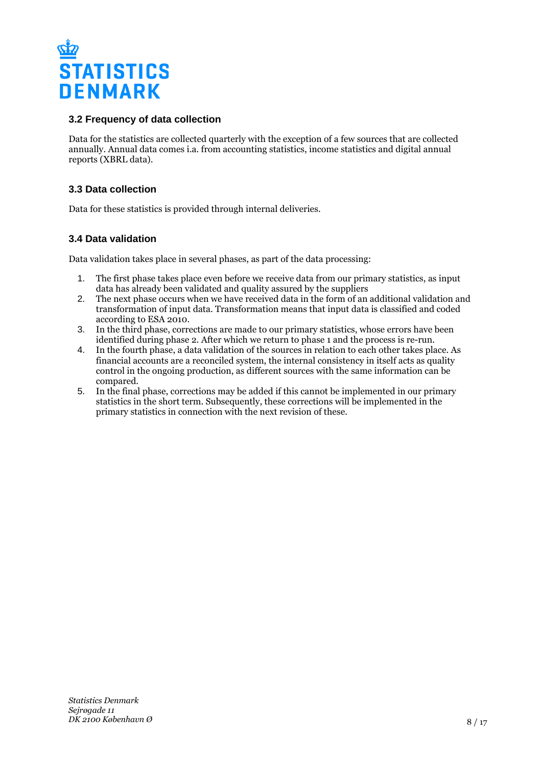

## **3.2 Frequency of data collection**

Data for the statistics are collected quarterly with the exception of a few sources that are collected annually. Annual data comes i.a. from accounting statistics, income statistics and digital annual reports (XBRL data).

## **3.3 Data collection**

Data for these statistics is provided through internal deliveries.

## **3.4 Data validation**

Data validation takes place in several phases, as part of the data processing:

- 1. The first phase takes place even before we receive data from our primary statistics, as input data has already been validated and quality assured by the suppliers
- 2. The next phase occurs when we have received data in the form of an additional validation and transformation of input data. Transformation means that input data is classified and coded according to ESA 2010.
- 3. In the third phase, corrections are made to our primary statistics, whose errors have been identified during phase 2. After which we return to phase 1 and the process is re-run.
- 4. In the fourth phase, a data validation of the sources in relation to each other takes place. As financial accounts are a reconciled system, the internal consistency in itself acts as quality control in the ongoing production, as different sources with the same information can be compared.
- 5. In the final phase, corrections may be added if this cannot be implemented in our primary statistics in the short term. Subsequently, these corrections will be implemented in the primary statistics in connection with the next revision of these.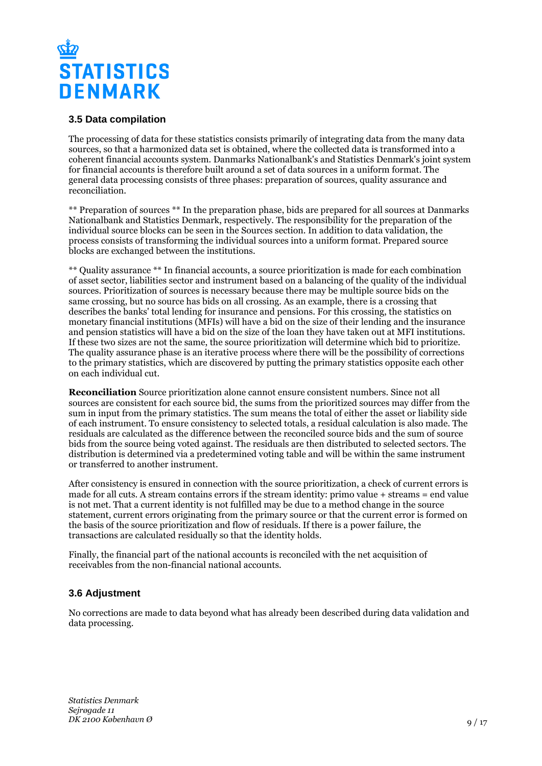

### **3.5 Data compilation**

The processing of data for these statistics consists primarily of integrating data from the many data sources, so that a harmonized data set is obtained, where the collected data is transformed into a coherent financial accounts system. Danmarks Nationalbank's and Statistics Denmark's joint system for financial accounts is therefore built around a set of data sources in a uniform format. The general data processing consists of three phases: preparation of sources, quality assurance and reconciliation.

\*\* Preparation of sources \*\* In the preparation phase, bids are prepared for all sources at Danmarks Nationalbank and Statistics Denmark, respectively. The responsibility for the preparation of the individual source blocks can be seen in the Sources section. In addition to data validation, the process consists of transforming the individual sources into a uniform format. Prepared source blocks are exchanged between the institutions.

\*\* Quality assurance \*\* In financial accounts, a source prioritization is made for each combination of asset sector, liabilities sector and instrument based on a balancing of the quality of the individual sources. Prioritization of sources is necessary because there may be multiple source bids on the same crossing, but no source has bids on all crossing. As an example, there is a crossing that describes the banks' total lending for insurance and pensions. For this crossing, the statistics on monetary financial institutions (MFIs) will have a bid on the size of their lending and the insurance and pension statistics will have a bid on the size of the loan they have taken out at MFI institutions. If these two sizes are not the same, the source prioritization will determine which bid to prioritize. The quality assurance phase is an iterative process where there will be the possibility of corrections to the primary statistics, which are discovered by putting the primary statistics opposite each other on each individual cut.

**Reconciliation** Source prioritization alone cannot ensure consistent numbers. Since not all sources are consistent for each source bid, the sums from the prioritized sources may differ from the sum in input from the primary statistics. The sum means the total of either the asset or liability side of each instrument. To ensure consistency to selected totals, a residual calculation is also made. The residuals are calculated as the difference between the reconciled source bids and the sum of source bids from the source being voted against. The residuals are then distributed to selected sectors. The distribution is determined via a predetermined voting table and will be within the same instrument or transferred to another instrument.

After consistency is ensured in connection with the source prioritization, a check of current errors is made for all cuts. A stream contains errors if the stream identity: primo value + streams = end value is not met. That a current identity is not fulfilled may be due to a method change in the source statement, current errors originating from the primary source or that the current error is formed on the basis of the source prioritization and flow of residuals. If there is a power failure, the transactions are calculated residually so that the identity holds.

Finally, the financial part of the national accounts is reconciled with the net acquisition of receivables from the non-financial national accounts.

## **3.6 Adjustment**

No corrections are made to data beyond what has already been described during data validation and data processing.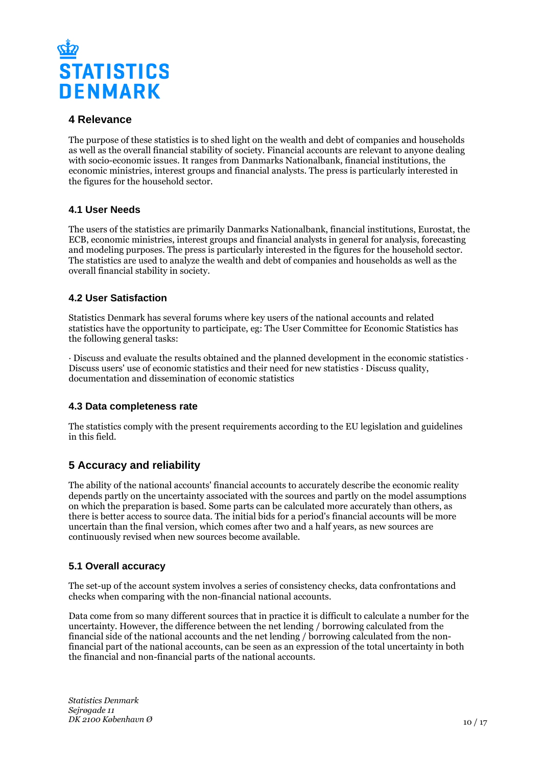

## **4 Relevance**

The purpose of these statistics is to shed light on the wealth and debt of companies and households as well as the overall financial stability of society. Financial accounts are relevant to anyone dealing with socio-economic issues. It ranges from Danmarks Nationalbank, financial institutions, the economic ministries, interest groups and financial analysts. The press is particularly interested in the figures for the household sector.

## **4.1 User Needs**

The users of the statistics are primarily Danmarks Nationalbank, financial institutions, Eurostat, the ECB, economic ministries, interest groups and financial analysts in general for analysis, forecasting and modeling purposes. The press is particularly interested in the figures for the household sector. The statistics are used to analyze the wealth and debt of companies and households as well as the overall financial stability in society.

## **4.2 User Satisfaction**

Statistics Denmark has several forums where key users of the national accounts and related statistics have the opportunity to participate, eg: The User Committee for Economic Statistics has the following general tasks:

· Discuss and evaluate the results obtained and the planned development in the economic statistics · Discuss users' use of economic statistics and their need for new statistics · Discuss quality, documentation and dissemination of economic statistics

## **4.3 Data completeness rate**

The statistics comply with the present requirements according to the EU legislation and guidelines in this field.

## **5 Accuracy and reliability**

The ability of the national accounts' financial accounts to accurately describe the economic reality depends partly on the uncertainty associated with the sources and partly on the model assumptions on which the preparation is based. Some parts can be calculated more accurately than others, as there is better access to source data. The initial bids for a period's financial accounts will be more uncertain than the final version, which comes after two and a half years, as new sources are continuously revised when new sources become available.

## **5.1 Overall accuracy**

The set-up of the account system involves a series of consistency checks, data confrontations and checks when comparing with the non-financial national accounts.

Data come from so many different sources that in practice it is difficult to calculate a number for the uncertainty. However, the difference between the net lending / borrowing calculated from the financial side of the national accounts and the net lending / borrowing calculated from the nonfinancial part of the national accounts, can be seen as an expression of the total uncertainty in both the financial and non-financial parts of the national accounts.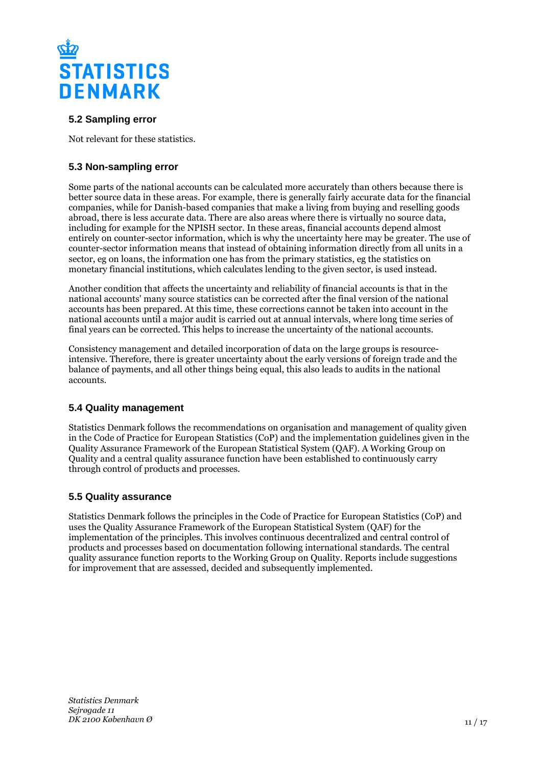

## **5.2 Sampling error**

Not relevant for these statistics.

## **5.3 Non-sampling error**

Some parts of the national accounts can be calculated more accurately than others because there is better source data in these areas. For example, there is generally fairly accurate data for the financial companies, while for Danish-based companies that make a living from buying and reselling goods abroad, there is less accurate data. There are also areas where there is virtually no source data, including for example for the NPISH sector. In these areas, financial accounts depend almost entirely on counter-sector information, which is why the uncertainty here may be greater. The use of counter-sector information means that instead of obtaining information directly from all units in a sector, eg on loans, the information one has from the primary statistics, eg the statistics on monetary financial institutions, which calculates lending to the given sector, is used instead.

Another condition that affects the uncertainty and reliability of financial accounts is that in the national accounts' many source statistics can be corrected after the final version of the national accounts has been prepared. At this time, these corrections cannot be taken into account in the national accounts until a major audit is carried out at annual intervals, where long time series of final years can be corrected. This helps to increase the uncertainty of the national accounts.

Consistency management and detailed incorporation of data on the large groups is resourceintensive. Therefore, there is greater uncertainty about the early versions of foreign trade and the balance of payments, and all other things being equal, this also leads to audits in the national accounts.

## **5.4 Quality management**

Statistics Denmark follows the recommendations on organisation and management of quality given in the Code of Practice for European Statistics (CoP) and the implementation guidelines given in the Quality Assurance Framework of the European Statistical System (QAF). A Working Group on Quality and a central quality assurance function have been established to continuously carry through control of products and processes.

## **5.5 Quality assurance**

Statistics Denmark follows the principles in the Code of Practice for European Statistics (CoP) and uses the Quality Assurance Framework of the European Statistical System (QAF) for the implementation of the principles. This involves continuous decentralized and central control of products and processes based on documentation following international standards. The central quality assurance function reports to the Working Group on Quality. Reports include suggestions for improvement that are assessed, decided and subsequently implemented.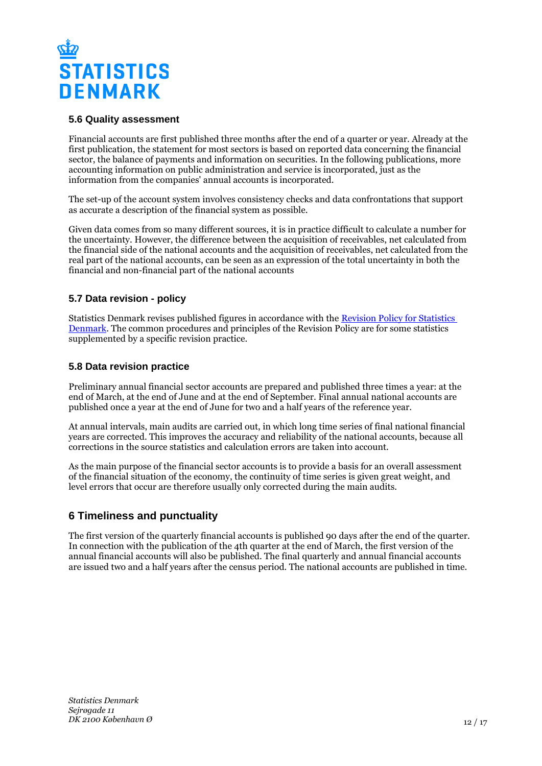

### **5.6 Quality assessment**

Financial accounts are first published three months after the end of a quarter or year. Already at the first publication, the statement for most sectors is based on reported data concerning the financial sector, the balance of payments and information on securities. In the following publications, more accounting information on public administration and service is incorporated, just as the information from the companies' annual accounts is incorporated.

The set-up of the account system involves consistency checks and data confrontations that support as accurate a description of the financial system as possible.

Given data comes from so many different sources, it is in practice difficult to calculate a number for the uncertainty. However, the difference between the acquisition of receivables, net calculated from the financial side of the national accounts and the acquisition of receivables, net calculated from the real part of the national accounts, can be seen as an expression of the total uncertainty in both the financial and non-financial part of the national accounts

## **5.7 Data revision - policy**

Statistics Denmark revises published figures in accordance with the [Revision Policy for Statistics](https://www.dst.dk/en/OmDS/strategi-og-kvalitet/revisionspolitik.aspx)  [Denmark.](https://www.dst.dk/en/OmDS/strategi-og-kvalitet/revisionspolitik.aspx) The common procedures and principles of the Revision Policy are for some statistics supplemented by a specific revision practice.

#### **5.8 Data revision practice**

Preliminary annual financial sector accounts are prepared and published three times a year: at the end of March, at the end of June and at the end of September. Final annual national accounts are published once a year at the end of June for two and a half years of the reference year.

At annual intervals, main audits are carried out, in which long time series of final national financial years are corrected. This improves the accuracy and reliability of the national accounts, because all corrections in the source statistics and calculation errors are taken into account.

As the main purpose of the financial sector accounts is to provide a basis for an overall assessment of the financial situation of the economy, the continuity of time series is given great weight, and level errors that occur are therefore usually only corrected during the main audits.

## **6 Timeliness and punctuality**

The first version of the quarterly financial accounts is published 90 days after the end of the quarter. In connection with the publication of the 4th quarter at the end of March, the first version of the annual financial accounts will also be published. The final quarterly and annual financial accounts are issued two and a half years after the census period. The national accounts are published in time.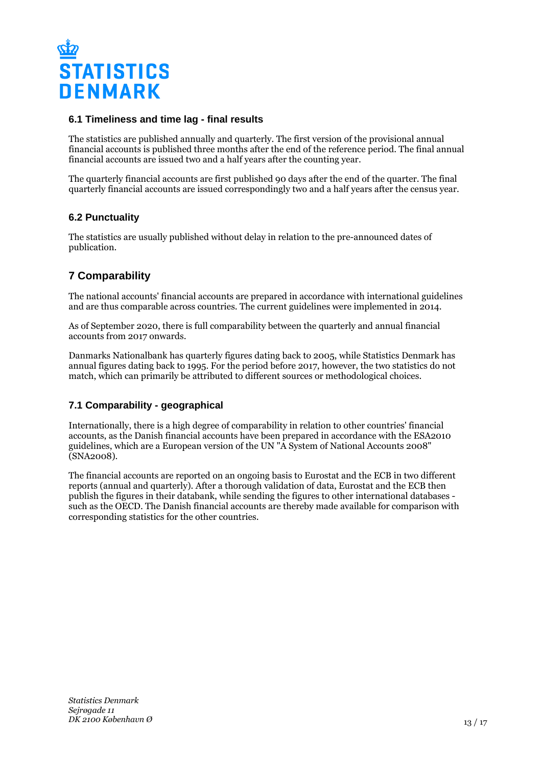

### **6.1 Timeliness and time lag - final results**

The statistics are published annually and quarterly. The first version of the provisional annual financial accounts is published three months after the end of the reference period. The final annual financial accounts are issued two and a half years after the counting year.

The quarterly financial accounts are first published 90 days after the end of the quarter. The final quarterly financial accounts are issued correspondingly two and a half years after the census year.

### **6.2 Punctuality**

The statistics are usually published without delay in relation to the pre-announced dates of publication.

## **7 Comparability**

The national accounts' financial accounts are prepared in accordance with international guidelines and are thus comparable across countries. The current guidelines were implemented in 2014.

As of September 2020, there is full comparability between the quarterly and annual financial accounts from 2017 onwards.

Danmarks Nationalbank has quarterly figures dating back to 2005, while Statistics Denmark has annual figures dating back to 1995. For the period before 2017, however, the two statistics do not match, which can primarily be attributed to different sources or methodological choices.

## **7.1 Comparability - geographical**

Internationally, there is a high degree of comparability in relation to other countries' financial accounts, as the Danish financial accounts have been prepared in accordance with the ESA2010 guidelines, which are a European version of the UN "A System of National Accounts 2008" (SNA2008).

The financial accounts are reported on an ongoing basis to Eurostat and the ECB in two different reports (annual and quarterly). After a thorough validation of data, Eurostat and the ECB then publish the figures in their databank, while sending the figures to other international databases such as the OECD. The Danish financial accounts are thereby made available for comparison with corresponding statistics for the other countries.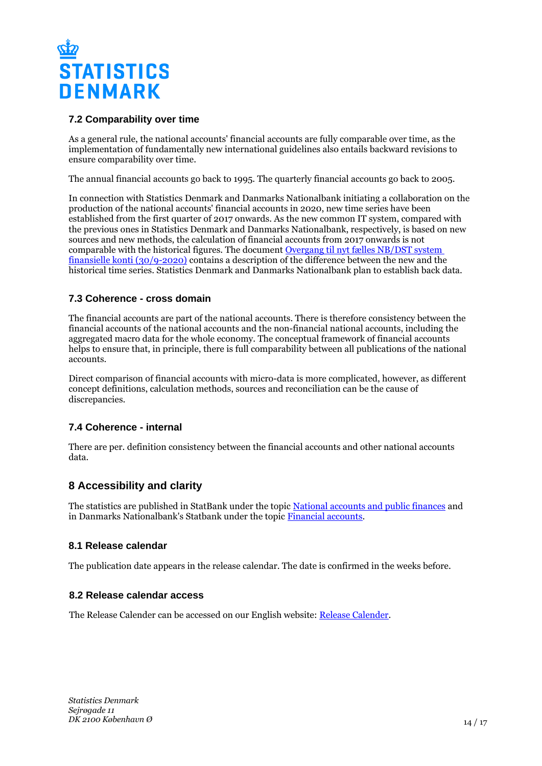

## **7.2 Comparability over time**

As a general rule, the national accounts' financial accounts are fully comparable over time, as the implementation of fundamentally new international guidelines also entails backward revisions to ensure comparability over time.

The annual financial accounts go back to 1995. The quarterly financial accounts go back to 2005.

In connection with Statistics Denmark and Danmarks Nationalbank initiating a collaboration on the production of the national accounts' financial accounts in 2020, new time series have been established from the first quarter of 2017 onwards. As the new common IT system, compared with the previous ones in Statistics Denmark and Danmarks Nationalbank, respectively, is based on new sources and new methods, the calculation of financial accounts from 2017 onwards is not comparable with the historical figures. The document [Overgang til nyt fælles NB/DST system](https://www.dst.dk/ext/national/OvergangNytFKSystem--pdf)  [finansielle konti \(30/9-2020\)](https://www.dst.dk/ext/national/OvergangNytFKSystem--pdf) contains a description of the difference between the new and the historical time series. Statistics Denmark and Danmarks Nationalbank plan to establish back data.

## **7.3 Coherence - cross domain**

The financial accounts are part of the national accounts. There is therefore consistency between the financial accounts of the national accounts and the non-financial national accounts, including the aggregated macro data for the whole economy. The conceptual framework of financial accounts helps to ensure that, in principle, there is full comparability between all publications of the national accounts.

Direct comparison of financial accounts with micro-data is more complicated, however, as different concept definitions, calculation methods, sources and reconciliation can be the cause of discrepancies.

## **7.4 Coherence - internal**

There are per. definition consistency between the financial accounts and other national accounts data.

## **8 Accessibility and clarity**

The statistics are published in StatBank under the topic [National accounts and public finances](https://www.statistikbank.dk/10177) and in Danmarks Nationalbank's Statbank under the topic [Financial accounts](https://nationalbanken.statistikbank.dk/).

## **8.1 Release calendar**

The publication date appears in the release calendar. The date is confirmed in the weeks before.

## **8.2 Release calendar access**

The Release Calender can be accessed on our English website: [Release Calender.](https://www.dst.dk/en/Statistik/offentliggoerelser.aspx)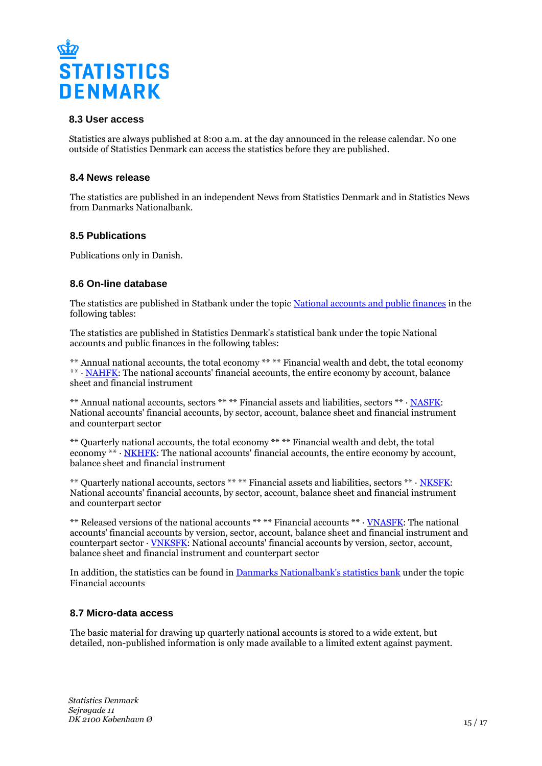

### **8.3 User access**

Statistics are always published at 8:00 a.m. at the day announced in the release calendar. No one outside of Statistics Denmark can access the statistics before they are published.

#### **8.4 News release**

The statistics are published in an independent News from Statistics Denmark and in Statistics News from Danmarks Nationalbank.

### **8.5 Publications**

Publications only in Danish.

### **8.6 On-line database**

The statistics are published in Statbank under the topic [National accounts and public finances](https://www.statbank.dk/10177) in the following tables:

The statistics are published in Statistics Denmark's statistical bank under the topic National accounts and public finances in the following tables:

\*\* Annual national accounts, the total economy \*\* \*\* Financial wealth and debt, the total economy \*\* · [NAHFK](https://www.statbank.dk/NAHFK): The national accounts' financial accounts, the entire economy by account, balance sheet and financial instrument

\*\* Annual national accounts, sectors \*\* \*\* Financial assets and liabilities, sectors \*\* · [NASFK:](https://www.statbank.dk/NASFK) National accounts' financial accounts, by sector, account, balance sheet and financial instrument and counterpart sector

\*\* Quarterly national accounts, the total economy \*\* \*\* Financial wealth and debt, the total economy \*\* · [NKHFK:](https://www.statbank.dk/NKHFK) The national accounts' financial accounts, the entire economy by account, balance sheet and financial instrument

\*\* Quarterly national accounts, sectors \*\* \*\* Financial assets and liabilities, sectors \*\* · [NKSFK](https://www.statbank.dk/NKSFK): National accounts' financial accounts, by sector, account, balance sheet and financial instrument and counterpart sector

\*\* Released versions of the national accounts \*\* \*\* Financial accounts \*\* · [VNASFK:](https://www.statbank.dk/VNASFK) The national accounts' financial accounts by version, sector, account, balance sheet and financial instrument and counterpart sector · [VNKSFK:](https://www.statbank.dk/VNKSFK) National accounts' financial accounts by version, sector, account, balance sheet and financial instrument and counterpart sector

In addition, the statistics can be found in [Danmarks Nationalbank's statistics bank](https://nationalbanken.statbank.dk/) under the topic Financial accounts

#### **8.7 Micro-data access**

The basic material for drawing up quarterly national accounts is stored to a wide extent, but detailed, non-published information is only made available to a limited extent against payment.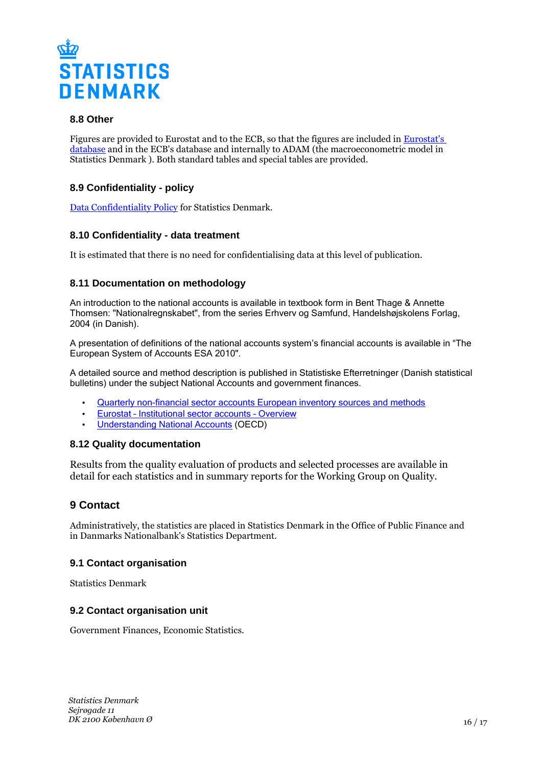

### **8.8 Other**

Figures are provided to Eurostat and to the ECB, so that the figures are included in [Eurostat's](https://ec.europa.eu/eurostat/data/database)  [database](https://ec.europa.eu/eurostat/data/database) and in the ECB's database and internally to ADAM (the macroeconometric model in Statistics Denmark ). Both standard tables and special tables are provided.

## **8.9 Confidentiality - policy**

[Data Confidentiality Policy](https://www.dst.dk/ext/502998790/0/formid/data-confidentiality-policy-at-statistics-denmark--pdf) for Statistics Denmark.

### **8.10 Confidentiality - data treatment**

It is estimated that there is no need for confidentialising data at this level of publication.

### **8.11 Documentation on methodology**

An introduction to the national accounts is available in textbook form in Bent Thage & Annette Thomsen: "Nationalregnskabet", from the series Erhverv og Samfund, Handelshøjskolens Forlag, 2004 (in Danish).

A presentation of definitions of the national accounts system's financial accounts is available in "The European System of Accounts ESA 2010".

A detailed source and method description is published in Statistiske Efterretninger (Danish statistical bulletins) under the subject National Accounts and government finances.

- [Quarterly non-financial sector accounts European inventory sources and methods](https://ec.europa.eu/eurostat/documents/499359/6294062/Quarterly-non-financial-sector-accounts-European-inventory-sources-and-methods-%28ESA95%29.pdf/fd0aaf9b-fa6a-484d-8dbb-89156e88c50f)
- [Eurostat](https://ec.europa.eu/eurostat/web/sector-accounts)  [Institutional sector accounts](https://ec.europa.eu/eurostat/web/sector-accounts)  [Overview](https://ec.europa.eu/eurostat/web/sector-accounts)
- [Understanding National Accounts](https://www.oecd-ilibrary.org/economics/understanding-national-accounts_9789264027657-en) (OECD)

#### **8.12 Quality documentation**

Results from the quality evaluation of products and selected processes are available in detail for each statistics and in summary reports for the Working Group on Quality.

## **9 Contact**

Administratively, the statistics are placed in Statistics Denmark in the Office of Public Finance and in Danmarks Nationalbank's Statistics Department.

#### **9.1 Contact organisation**

Statistics Denmark

#### **9.2 Contact organisation unit**

Government Finances, Economic Statistics.